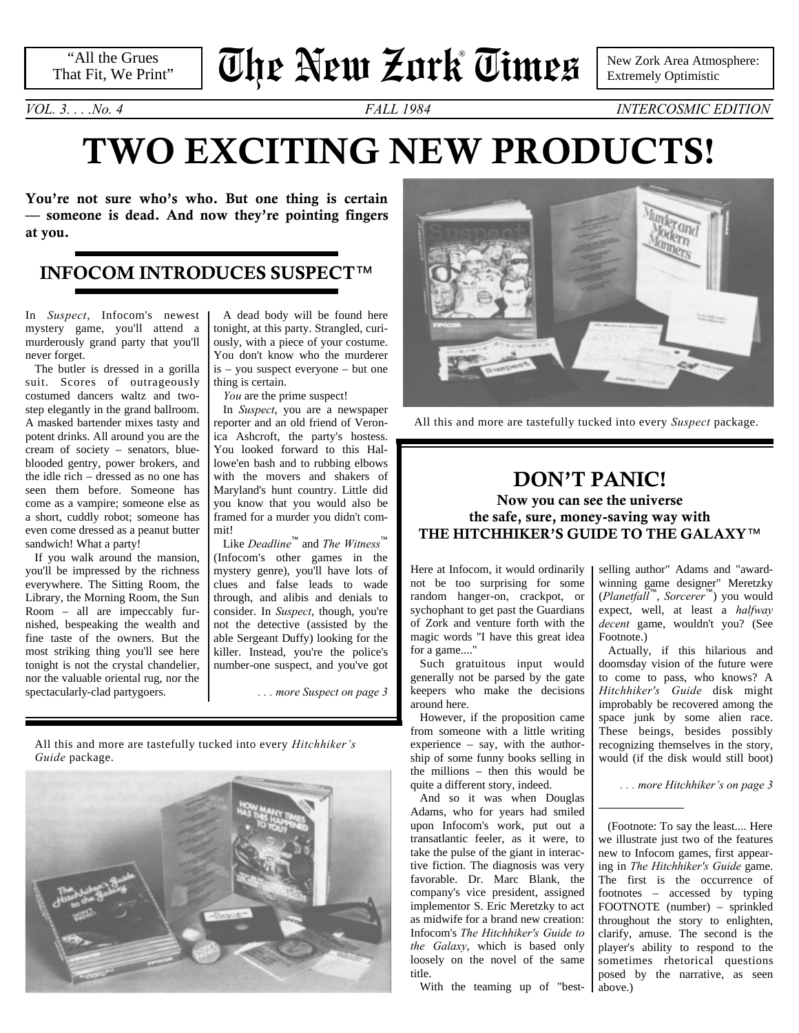"All the Grues That Fit, We Print"

# **The New Zork Times** ®

New Zork Area Atmosphere: Extremely Optimistic

*VOL. 3. . . .No. 4 FALL 1984 INTERCOSMIC EDITION*

## **TWO EXCITING NEW PRODUCTS!**

**You're not sure who's who. But one thing is certain — someone is dead. And now they're pointing fingers at you.**

### **INFOCOM INTRODUCES SUSPECT**™

In *Suspect*, Infocom's newest mystery game, you'll attend a murderously grand party that you'll never forget.

The butler is dressed in a gorilla suit. Scores of outrageously costumed dancers waltz and twostep elegantly in the grand ballroom. A masked bartender mixes tasty and potent drinks. All around you are the cream of society – senators, blueblooded gentry, power brokers, and the idle rich – dressed as no one has seen them before. Someone has come as a vampire; someone else as a short, cuddly robot; someone has even come dressed as a peanut butter sandwich! What a party!

If you walk around the mansion, you'll be impressed by the richness everywhere. The Sitting Room, the Library, the Morning Room, the Sun Room – all are impeccably furnished, bespeaking the wealth and fine taste of the owners. But the most striking thing you'll see here tonight is not the crystal chandelier, nor the valuable oriental rug, nor the spectacularly-clad partygoers.

A dead body will be found here tonight, at this party. Strangled, curiously, with a piece of your costume. You don't know who the murderer is – you suspect everyone – but one thing is certain.

*You* are the prime suspect!

<span id="page-0-1"></span>In *Suspect*, you are a newspaper reporter and an old friend of Veronica Ashcroft, the party's hostess. You looked forward to this Hallowe'en bash and to rubbing elbows with the movers and shakers of Maryland's hunt country. Little did you know that you would also be framed for a murder you didn't commit!

Like *Deadline*™ and *The Witness*™ (Infocom's other games in the mystery genre), you'll have lots of clues and false leads to wade through, and alibis and denials to consider. In *Suspect*, though, you're not the detective (assisted by the able Sergeant Duffy) looking for the killer. Instead, you're the police's number-one suspect, and you've got

*[. . . more Suspect on page 3](#page-2-0)*

All this and more are tastefully tucked into every *Hitchhiker's Guide* package.





All this and more are tastefully tucked into every *Suspect* package.

### **DON'T PANIC! Now you can see the universe the safe, sure, money-saving way with THE HITCHHIKER'S GUIDE TO THE GALAXY**™

Here at Infocom, it would ordinarily not be too surprising for some random hanger-on, crackpot, or sychophant to get past the Guardians of Zork and venture forth with the magic words "I have this great idea for a game...."

Such gratuitous input would generally not be parsed by the gate keepers who make the decisions around here.

However, if the proposition came from someone with a little writing experience – say, with the authorship of some funny books selling in the millions – then this would be quite a different story, indeed.

And so it was when Douglas Adams, who for years had smiled upon Infocom's work, put out a transatlantic feeler, as it were, to take the pulse of the giant in interactive fiction. The diagnosis was very favorable. Dr. Marc Blank, the company's vice president, assigned implementor S. Eric Meretzky to act as midwife for a brand new creation: Infocom's *The Hitchhiker's Guide to the Galaxy*, which is based only loosely on the novel of the same title.

With the teaming up of "best-

<span id="page-0-2"></span>selling author" Adams and "awardwinning game designer" Meretzky (*Planetfall*™, *Sorcerer*™) you would expect, well, at least a *halfway decent* game, wouldn't you? [\(See](#page-0-0) [Footnote.\)](#page-0-0)

Actually, if this hilarious and doomsday vision of the future were to come to pass, who knows? A *Hitchhiker's Guide* disk might improbably be recovered among the space junk by some alien race. These beings, besides possibly recognizing themselves in the story, would (if the disk would still boot)

*[. . . more Hitchhiker's on page 3](#page-2-1)*

<span id="page-0-0"></span>(Footnote: To say the least.... Here we illustrate just two of the features new to Infocom games, first appearing in *The Hitchhiker's Guide* game. The first is the occurrence of footnotes – accessed by typing FOOTNOTE (number) – sprinkled throughout the story to enlighten, clarify, amuse. The second is the player's ability to respond to the sometimes rhetorical questions posed by the narrative, as seen above.)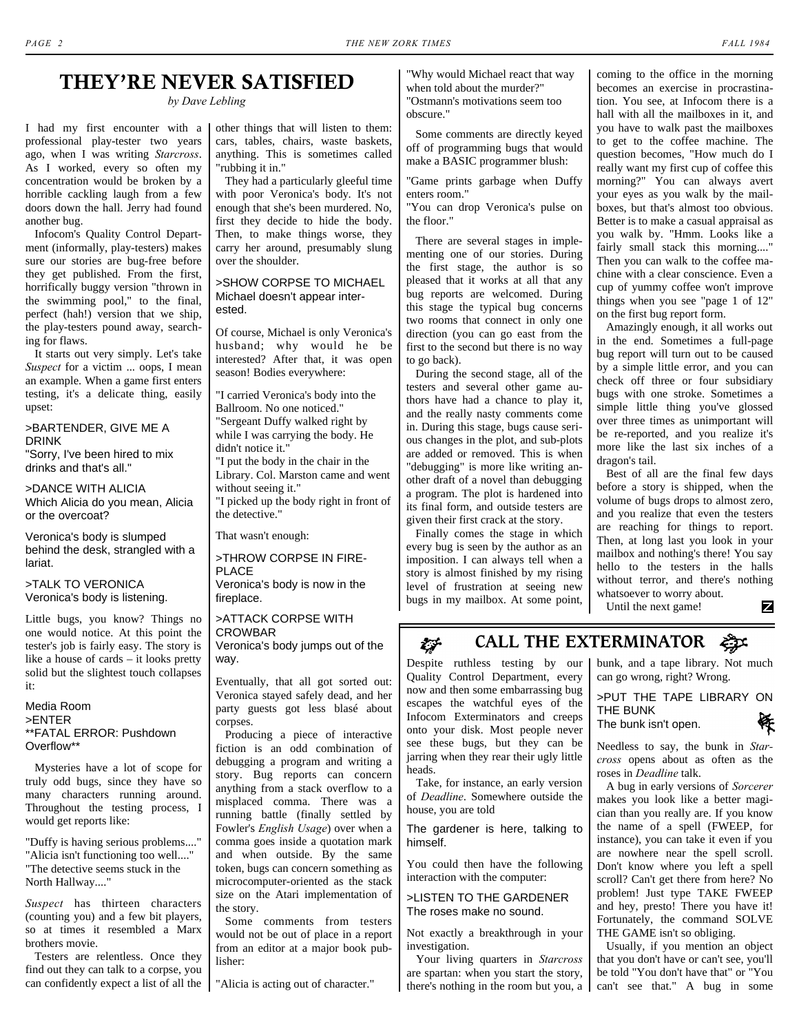## **THEY'RE NEVER SATISFIED**

*by Dave Lebling*

I had my first encounter with a professional play-tester two years ago, when I was writing *Starcross*. As I worked, every so often my concentration would be broken by a horrible cackling laugh from a few doors down the hall. Jerry had found another bug.

Infocom's Quality Control Department (informally, play-testers) makes sure our stories are bug-free before they get published. From the first, horrifically buggy version "thrown in the swimming pool," to the final, perfect (hah!) version that we ship, the play-testers pound away, searching for flaws.

It starts out very simply. Let's take *Suspect* for a victim ... oops, I mean an example. When a game first enters testing, it's a delicate thing, easily upset:

>BARTENDER, GIVE ME A DRINK "Sorry, I've been hired to mix

drinks and that's all."

>DANCE WITH ALICIA Which Alicia do you mean, Alicia or the overcoat?

Veronica's body is slumped behind the desk, strangled with a lariat.

>TALK TO VERONICA Veronica's body is listening.

Little bugs, you know? Things no one would notice. At this point the tester's job is fairly easy. The story is like a house of cards – it looks pretty solid but the slightest touch collapses it:

#### Media Room >ENTER \*\*FATAL ERROR: Pushdown Overflow\*\*

Mysteries have a lot of scope for truly odd bugs, since they have so many characters running around. Throughout the testing process, I would get reports like:

"Duffy is having serious problems...." "Alicia isn't functioning too well...." "The detective seems stuck in the North Hallway...."

*Suspect* has thirteen characters (counting you) and a few bit players, so at times it resembled a Marx brothers movie.

Testers are relentless. Once they find out they can talk to a corpse, you can confidently expect a list of all the "Alicia is acting out of character."

other things that will listen to them: cars, tables, chairs, waste baskets, anything. This is sometimes called "rubbing it in."

They had a particularly gleeful time with poor Veronica's body. It's not enough that she's been murdered. No, first they decide to hide the body. Then, to make things worse, they carry her around, presumably slung over the shoulder.

### >SHOW CORPSE TO MICHAEL Michael doesn't appear interested.

Of course, Michael is only Veronica's husband; why would he be interested? After that, it was open season! Bodies everywhere:

"I carried Veronica's body into the Ballroom. No one noticed." "Sergeant Duffy walked right by while I was carrying the body. He didn't notice it."

"I put the body in the chair in the Library. Col. Marston came and went without seeing it."

"I picked up the body right in front of the detective."

That wasn't enough:

>THROW CORPSE IN FIRE-PLACE Veronica's body is now in the fireplace.

#### >ATTACK CORPSE WITH CROWBAR Veronica's body jumps out of the way.

Eventually, that all got sorted out: Veronica stayed safely dead, and her party guests got less blasé about corpses.

Producing a piece of interactive fiction is an odd combination of debugging a program and writing a story. Bug reports can concern anything from a stack overflow to a misplaced comma. There was a running battle (finally settled by Fowler's *English Usage*) over when a comma goes inside a quotation mark and when outside. By the same token, bugs can concern something as microcomputer-oriented as the stack size on the Atari implementation of the story.

Some comments from testers would not be out of place in a report from an editor at a major book publisher:

"Why would Michael react that way when told about the murder?" "Ostmann's motivations seem too obscure."

Some comments are directly keyed off of programming bugs that would make a BASIC programmer blush:

"Game prints garbage when Duffy enters room."

"You can drop Veronica's pulse on the floor."

There are several stages in implementing one of our stories. During the first stage, the author is so pleased that it works at all that any bug reports are welcomed. During this stage the typical bug concerns two rooms that connect in only one direction (you can go east from the first to the second but there is no way to go back).

During the second stage, all of the testers and several other game authors have had a chance to play it, and the really nasty comments come in. During this stage, bugs cause serious changes in the plot, and sub-plots are added or removed. This is when "debugging" is more like writing another draft of a novel than debugging a program. The plot is hardened into its final form, and outside testers are given their first crack at the story.

Finally comes the stage in which every bug is seen by the author as an imposition. I can always tell when a story is almost finished by my rising level of frustration at seeing new bugs in my mailbox. At some point, coming to the office in the morning becomes an exercise in procrastination. You see, at Infocom there is a hall with all the mailboxes in it, and you have to walk past the mailboxes to get to the coffee machine. The question becomes, "How much do I really want my first cup of coffee this morning?" You can always avert your eyes as you walk by the mailboxes, but that's almost too obvious. Better is to make a casual appraisal as you walk by. "Hmm. Looks like a fairly small stack this morning...." Then you can walk to the coffee machine with a clear conscience. Even a cup of yummy coffee won't improve things when you see "page 1 of 12" on the first bug report form.

Amazingly enough, it all works out in the end. Sometimes a full-page bug report will turn out to be caused by a simple little error, and you can check off three or four subsidiary bugs with one stroke. Sometimes a simple little thing you've glossed over three times as unimportant will be re-reported, and you realize it's more like the last six inches of a dragon's tail.

Best of all are the final few days before a story is shipped, when the volume of bugs drops to almost zero, and you realize that even the testers are reaching for things to report. Then, at long last you look in your mailbox and nothing's there! You say hello to the testers in the halls without terror, and there's nothing whatsoever to worry about. z

Until the next game!

#### **CALL THE EXTERMINATOR**t.jr

Despite ruthless testing by our Quality Control Department, every now and then some embarrassing bug escapes the watchful eyes of the Infocom Exterminators and creeps onto your disk. Most people never see these bugs, but they can be jarring when they rear their ugly little heads.

Take, for instance, an early version of *Deadline*. Somewhere outside the house, you are told

The gardener is here, talking to himself.

You could then have the following interaction with the computer:

>LISTEN TO THE GARDENER The roses make no sound.

Not exactly a breakthrough in your investigation.

Your living quarters in *Starcross* are spartan: when you start the story, there's nothing in the room but you, a

bunk, and a tape library. Not much can go wrong, right? Wrong.

>PUT THE TAPE LIBRARY ON THE BUNK The bunk isn't open.

Needless to say, the bunk in *Starcross* opens about as often as the roses in *Deadline* talk.

A bug in early versions of *Sorcerer* makes you look like a better magician than you really are. If you know the name of a spell (FWEEP, for instance), you can take it even if you are nowhere near the spell scroll. Don't know where you left a spell scroll? Can't get there from here? No problem! Just type TAKE FWEEP and hey, presto! There you have it! Fortunately, the command SOLVE THE GAME isn't so obliging.

Usually, if you mention an object that you don't have or can't see, you'll be told "You don't have that" or "You can't see that." A bug in some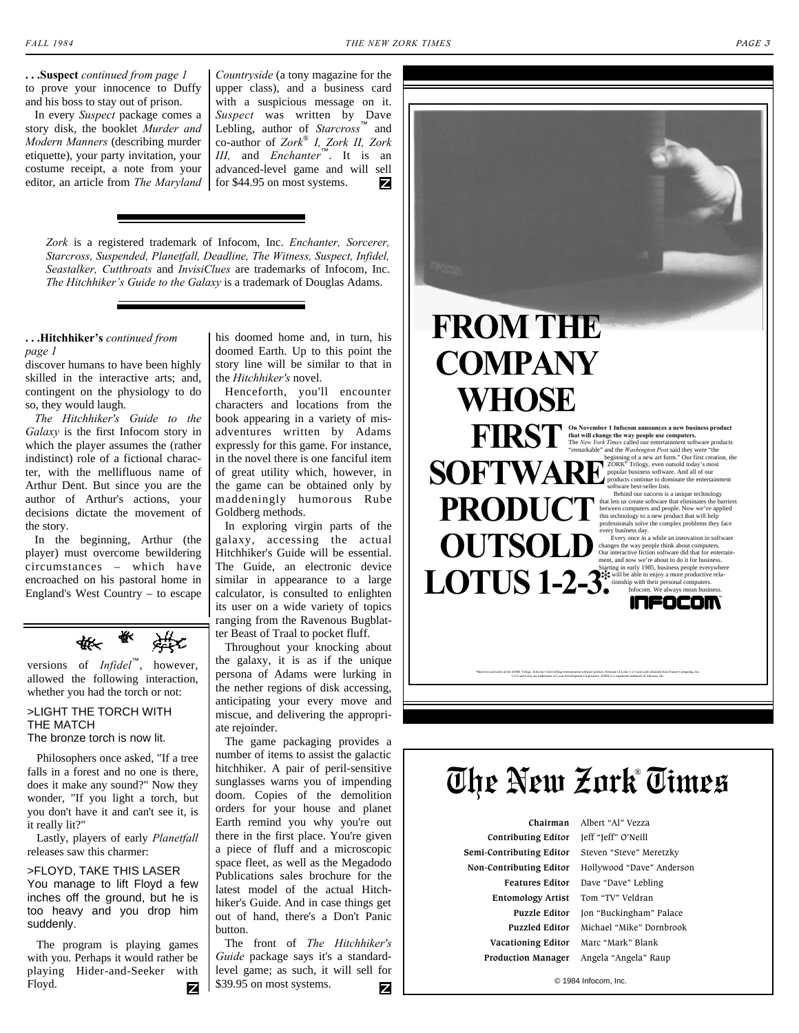<span id="page-2-0"></span>**. . .Suspect** *[continued from page 1](#page-0-1)* to prove your innocence to Duffy and his boss to stay out of prison.

In every *Suspect* package comes a story disk, the booklet *Murder and Modern Manners* (describing murder etiquette), your party invitation, your costume receipt, a note from your editor, an article from *The Maryland* for \$44.95 on most systems.

*Countryside* (a tony magazine for the upper class), and a business card with a suspicious message on it. *Suspect* was written by Dave Lebling, author of *Starcross*™ and co-author of *Zork*® *I, Zork II, Zork III,* and *Enchanter*™. It is an advanced-level game and will sell z

*Zork* is a registered trademark of Infocom, Inc. *Enchanter, Sorcerer, Starcross, Suspended, Planetfall, Deadline, The Witness, Suspect, Infidel, Seastalker, Cutthroats* and *InvisiClues* are trademarks of Infocom, Inc. *The Hitchhiker's Guide to the Galaxy* is a trademark of Douglas Adams.

#### <span id="page-2-1"></span>**[. . .Hitchhiker's](#page-0-2)** *continued from page 1*

discover humans to have been highly skilled in the interactive arts; and, contingent on the physiology to do so, they would laugh.

*The Hitchhiker's Guide to the Galaxy* is the first Infocom story in which the player assumes the (rather indistinct) role of a fictional character, with the mellifluous name of Arthur Dent. But since you are the author of Arthur's actions, your decisions dictate the movement of the story.

In the beginning, Arthur (the player) must overcome bewildering circumstances – which have encroached on his pastoral home in England's West Country – to escape



versions of *Infidel*™, however, allowed the following interaction, whether you had the torch or not:

>LIGHT THE TORCH WITH THE MATCH

The bronze torch is now lit.

Philosophers once asked, "If a tree falls in a forest and no one is there, does it make any sound?" Now they wonder, "If you light a torch, but you don't have it and can't see it, is it really lit?"

Lastly, players of early *Planetfall* releases saw this charmer:

>FLOYD, TAKE THIS LASER You manage to lift Floyd a few inches off the ground, but he is too heavy and you drop him suddenly.

The program is playing games with you. Perhaps it would rather be playing Hider-and-Seeker with Floyd. z

his doomed home and, in turn, his doomed Earth. Up to this point the story line will be similar to that in the *Hitchhiker's* novel.

Henceforth, you'll encounter characters and locations from the book appearing in a variety of misadventures written by Adams expressly for this game. For instance, in the novel there is one fanciful item of great utility which, however, in the game can be obtained only by maddeningly humorous Rube Goldberg methods.

In exploring virgin parts of the galaxy, accessing the actual Hitchhiker's Guide will be essential. The Guide, an electronic device similar in appearance to a large calculator, is consulted to enlighten its user on a wide variety of topics ranging from the Ravenous Bugblatter Beast of Traal to pocket fluff.

Throughout your knocking about the galaxy, it is as if the unique persona of Adams were lurking in the nether regions of disk accessing, anticipating your every move and miscue, and delivering the appropriate rejoinder.

The game packaging provides a number of items to assist the galactic hitchhiker. A pair of peril-sensitive sunglasses warns you of impending doom. Copies of the demolition orders for your house and planet Earth remind you why you're out there in the first place. You're given a piece of fluff and a microscopic space fleet, as well as the Megadodo Publications sales brochure for the latest model of the actual Hitchhiker's Guide. And in case things get out of hand, there's a Don't Panic button.

The front of *The Hitchhiker's Guide* package says it's a standardlevel game; as such, it will sell for \$39.95 on most systems. z

## **The New Zork Times** ®

 **Chairman** Albert "Al" Vezza **Contributing Editor** Jeff "Jeff" O'Neill **Semi-Contributing Editor** Steven "Steve" Meretzky **Entomology Artist** Tom "TV" Veldran  **Vacationing Editor** Marc "Mark" Blank  **Production Manager** Angela "Angela" Raup

 **Non-Contributing Editor** Hollywood "Dave" Anderson  **Features Editor** Dave "Dave" Lebling **Puzzle Editor** Jon "Buckingham" Palace  **Puzzled Editor** Michael "Mike" Dornbrook

© 1984 Infocom, Inc.